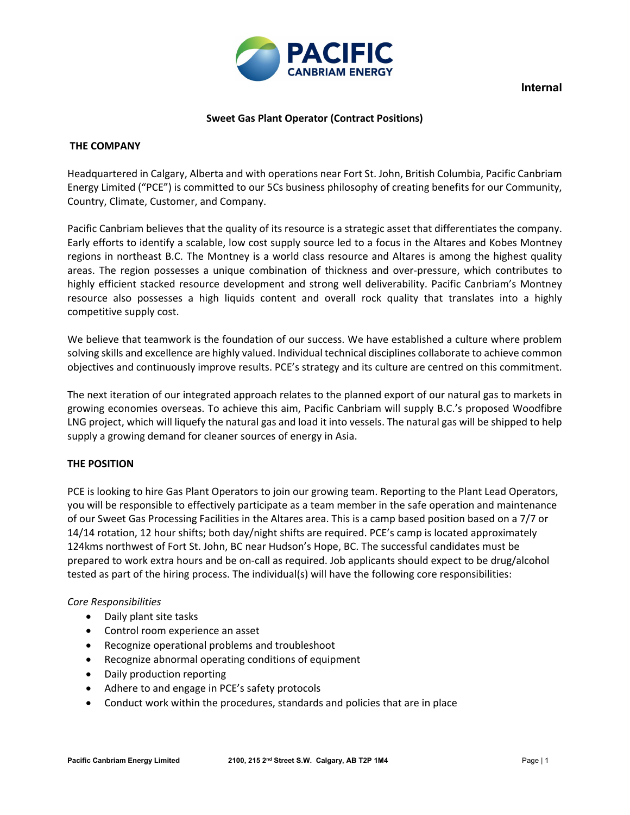

**Internal**

## **Sweet Gas Plant Operator (Contract Positions)**

## **THE COMPANY**

Headquartered in Calgary, Alberta and with operations near Fort St. John, British Columbia, Pacific Canbriam Energy Limited ("PCE") is committed to our 5Cs business philosophy of creating benefits for our Community, Country, Climate, Customer, and Company.

Pacific Canbriam believes that the quality of its resource is a strategic asset that differentiates the company. Early efforts to identify a scalable, low cost supply source led to a focus in the Altares and Kobes Montney regions in northeast B.C. The Montney is a world class resource and Altares is among the highest quality areas. The region possesses a unique combination of thickness and over-pressure, which contributes to highly efficient stacked resource development and strong well deliverability. Pacific Canbriam's Montney resource also possesses a high liquids content and overall rock quality that translates into a highly competitive supply cost.

We believe that teamwork is the foundation of our success. We have established a culture where problem solving skills and excellence are highly valued. Individual technical disciplines collaborate to achieve common objectives and continuously improve results. PCE's strategy and its culture are centred on this commitment.

The next iteration of our integrated approach relates to the planned export of our natural gas to markets in growing economies overseas. To achieve this aim, Pacific Canbriam will supply B.C.'s proposed Woodfibre LNG project, which will liquefy the natural gas and load it into vessels. The natural gas will be shipped to help supply a growing demand for cleaner sources of energy in Asia.

# **THE POSITION**

PCE is looking to hire Gas Plant Operators to join our growing team. Reporting to the Plant Lead Operators, you will be responsible to effectively participate as a team member in the safe operation and maintenance of our Sweet Gas Processing Facilities in the Altares area. This is a camp based position based on a 7/7 or 14/14 rotation, 12 hour shifts; both day/night shifts are required. PCE's camp is located approximately 124kms northwest of Fort St. John, BC near Hudson's Hope, BC. The successful candidates must be prepared to work extra hours and be on-call as required. Job applicants should expect to be drug/alcohol tested as part of the hiring process. The individual(s) will have the following core responsibilities:

#### *Core Responsibilities*

- Daily plant site tasks
- Control room experience an asset
- Recognize operational problems and troubleshoot
- Recognize abnormal operating conditions of equipment
- Daily production reporting
- Adhere to and engage in PCE's safety protocols
- Conduct work within the procedures, standards and policies that are in place